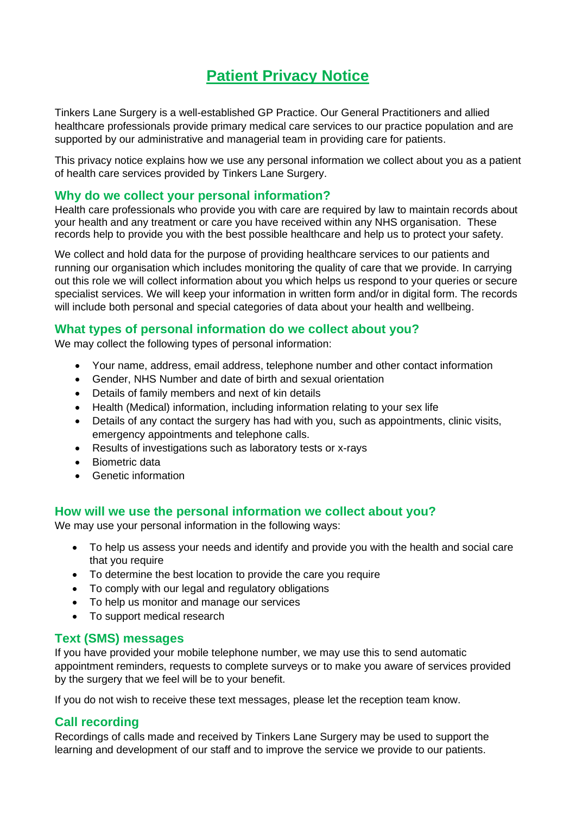# **Patient Privacy Notice**

Tinkers Lane Surgery is a well-established GP Practice. Our General Practitioners and allied healthcare professionals provide primary medical care services to our practice population and are supported by our administrative and managerial team in providing care for patients.

This privacy notice explains how we use any personal information we collect about you as a patient of health care services provided by Tinkers Lane Surgery.

# **Why do we collect your personal information?**

Health care professionals who provide you with care are required by law to maintain records about your health and any treatment or care you have received within any NHS organisation. These records help to provide you with the best possible healthcare and help us to protect your safety.

We collect and hold data for the purpose of providing healthcare services to our patients and running our organisation which includes monitoring the quality of care that we provide. In carrying out this role we will collect information about you which helps us respond to your queries or secure specialist services. We will keep your information in written form and/or in digital form. The records will include both personal and special categories of data about your health and wellbeing.

# **What types of personal information do we collect about you?**

We may collect the following types of personal information:

- Your name, address, email address, telephone number and other contact information
- Gender, NHS Number and date of birth and sexual orientation
- Details of family members and next of kin details
- Health (Medical) information, including information relating to your sex life
- Details of any contact the surgery has had with you, such as appointments, clinic visits, emergency appointments and telephone calls.
- Results of investigations such as laboratory tests or x-rays
- Biometric data
- Genetic information

## **How will we use the personal information we collect about you?**

We may use your personal information in the following ways:

- To help us assess your needs and identify and provide you with the health and social care that you require
- To determine the best location to provide the care you require
- To comply with our legal and regulatory obligations
- To help us monitor and manage our services
- To support medical research

## **Text (SMS) messages**

If you have provided your mobile telephone number, we may use this to send automatic appointment reminders, requests to complete surveys or to make you aware of services provided by the surgery that we feel will be to your benefit.

If you do not wish to receive these text messages, please let the reception team know.

## **Call recording**

Recordings of calls made and received by Tinkers Lane Surgery may be used to support the learning and development of our staff and to improve the service we provide to our patients.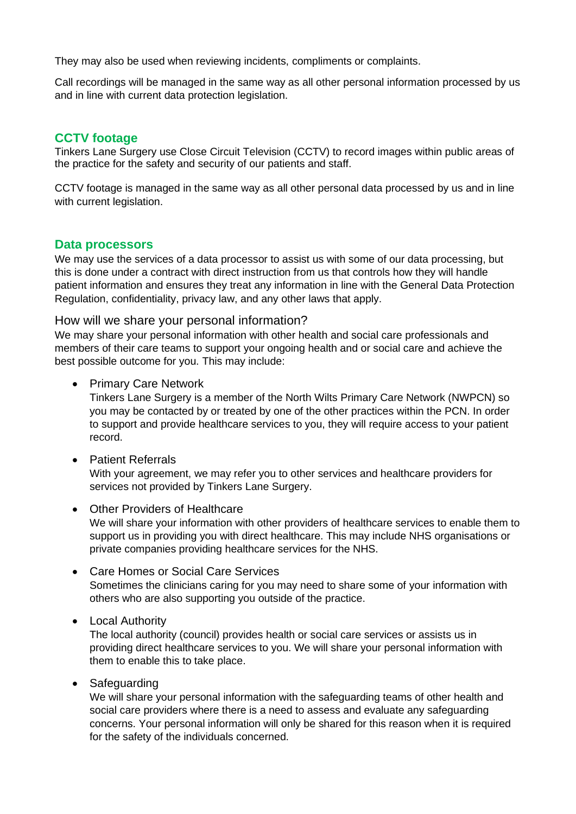They may also be used when reviewing incidents, compliments or complaints.

Call recordings will be managed in the same way as all other personal information processed by us and in line with current data protection legislation.

## **CCTV footage**

Tinkers Lane Surgery use Close Circuit Television (CCTV) to record images within public areas of the practice for the safety and security of our patients and staff.

CCTV footage is managed in the same way as all other personal data processed by us and in line with current legislation.

#### **Data processors**

We may use the services of a data processor to assist us with some of our data processing, but this is done under a contract with direct instruction from us that controls how they will handle patient information and ensures they treat any information in line with the General Data Protection Regulation, confidentiality, privacy law, and any other laws that apply.

#### How will we share your personal information?

We may share your personal information with other health and social care professionals and members of their care teams to support your ongoing health and or social care and achieve the best possible outcome for you. This may include:

• Primary Care Network

Tinkers Lane Surgery is a member of the North Wilts Primary Care Network (NWPCN) so you may be contacted by or treated by one of the other practices within the PCN. In order to support and provide healthcare services to you, they will require access to your patient record.

- Patient Referrals With your agreement, we may refer you to other services and healthcare providers for services not provided by Tinkers Lane Surgery.
- Other Providers of Healthcare We will share your information with other providers of healthcare services to enable them to support us in providing you with direct healthcare. This may include NHS organisations or private companies providing healthcare services for the NHS.
- Care Homes or Social Care Services Sometimes the clinicians caring for you may need to share some of your information with others who are also supporting you outside of the practice.
- Local Authority

The local authority (council) provides health or social care services or assists us in providing direct healthcare services to you. We will share your personal information with them to enable this to take place.

• Safeguarding

We will share your personal information with the safeguarding teams of other health and social care providers where there is a need to assess and evaluate any safeguarding concerns. Your personal information will only be shared for this reason when it is required for the safety of the individuals concerned.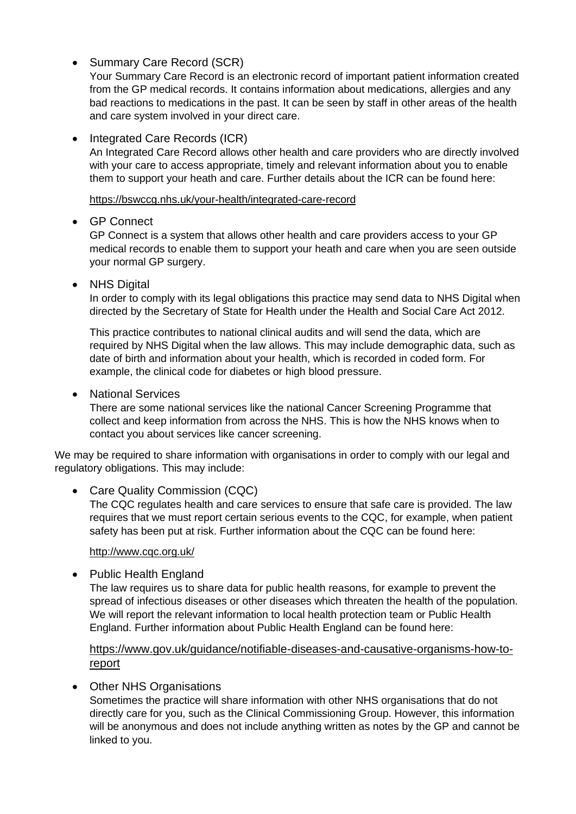• Summary Care Record (SCR)

Your Summary Care Record is an electronic record of important patient information created from the GP medical records. It contains information about medications, allergies and any bad reactions to medications in the past. It can be seen by staff in other areas of the health and care system involved in your direct care.

# • Integrated Care Records (ICR)

An Integrated Care Record allows other health and care providers who are directly involved with your care to access appropriate, timely and relevant information about you to enable them to support your heath and care. Further details about the ICR can be found here:

<https://bswccg.nhs.uk/your-health/integrated-care-record>

## • GP Connect

GP Connect is a system that allows other health and care providers access to your GP medical records to enable them to support your heath and care when you are seen outside your normal GP surgery.

• NHS Digital

In order to comply with its legal obligations this practice may send data to NHS Digital when directed by the Secretary of State for Health under the Health and Social Care Act 2012.

This practice contributes to national clinical audits and will send the data, which are required by NHS Digital when the law allows. This may include demographic data, such as date of birth and information about your health, which is recorded in coded form. For example, the clinical code for diabetes or high blood pressure.

• National Services

There are some national services like the national Cancer Screening Programme that collect and keep information from across the NHS. This is how the NHS knows when to contact you about services like cancer screening.

We may be required to share information with organisations in order to comply with our legal and regulatory obligations. This may include:

# • Care Quality Commission (CQC)

The CQC regulates health and care services to ensure that safe care is provided. The law requires that we must report certain serious events to the CQC, for example, when patient safety has been put at risk. Further information about the CQC can be found here:

## <http://www.cqc.org.uk/>

• Public Health England

The law requires us to share data for public health reasons, for example to prevent the spread of infectious diseases or other diseases which threaten the health of the population. We will report the relevant information to local health protection team or Public Health England. Further information about Public Health England can be found here:

# [https://www.gov.uk/guidance/notifiable-diseases-and-causative-organisms-how-to](https://www.gov.uk/guidance/notifiable-diseases-and-causative-organisms-how-to-report)[report](https://www.gov.uk/guidance/notifiable-diseases-and-causative-organisms-how-to-report)

## • Other NHS Organisations

Sometimes the practice will share information with other NHS organisations that do not directly care for you, such as the Clinical Commissioning Group. However, this information will be anonymous and does not include anything written as notes by the GP and cannot be linked to you.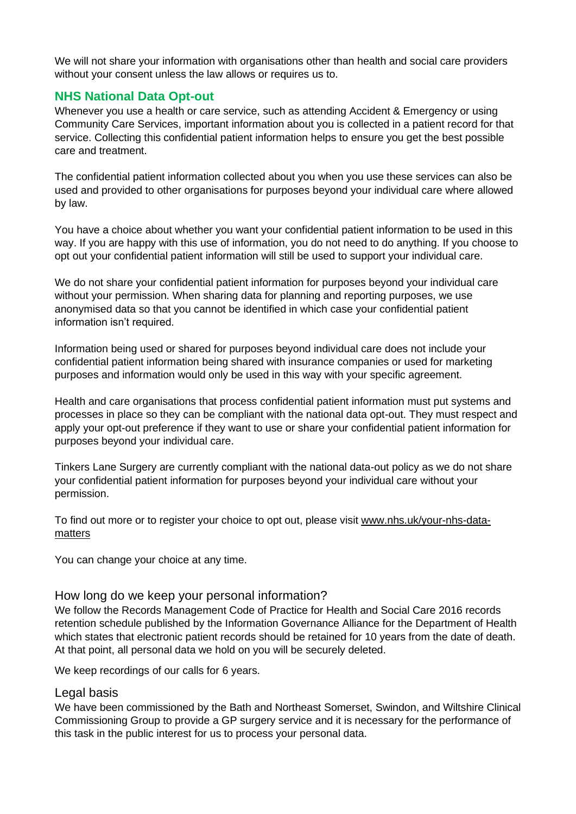We will not share your information with organisations other than health and social care providers without your consent unless the law allows or requires us to.

# **NHS National Data Opt-out**

Whenever you use a health or care service, such as attending Accident & Emergency or using Community Care Services, important information about you is collected in a patient record for that service. Collecting this confidential patient information helps to ensure you get the best possible care and treatment.

The confidential patient information collected about you when you use these services can also be used and provided to other organisations for purposes beyond your individual care where allowed by law.

You have a choice about whether you want your confidential patient information to be used in this way. If you are happy with this use of information, you do not need to do anything. If you choose to opt out your confidential patient information will still be used to support your individual care.

We do not share your confidential patient information for purposes beyond your individual care without your permission. When sharing data for planning and reporting purposes, we use anonymised data so that you cannot be identified in which case your confidential patient information isn't required.

Information being used or shared for purposes beyond individual care does not include your confidential patient information being shared with insurance companies or used for marketing purposes and information would only be used in this way with your specific agreement.

Health and care organisations that process confidential patient information must put systems and processes in place so they can be compliant with the national data opt-out. They must respect and apply your opt-out preference if they want to use or share your confidential patient information for purposes beyond your individual care.

Tinkers Lane Surgery are currently compliant with the national data-out policy as we do not share your confidential patient information for purposes beyond your individual care without your permission.

To find out more or to register your choice to opt out, please visit [www.nhs.uk/your-nhs-data](http://www.nhs.uk/your-nhs-data-matters)[matters](http://www.nhs.uk/your-nhs-data-matters)

You can change your choice at any time.

## How long do we keep your personal information?

We follow the Records Management Code of Practice for Health and Social Care 2016 records retention schedule published by the Information Governance Alliance for the Department of Health which states that electronic patient records should be retained for 10 years from the date of death. At that point, all personal data we hold on you will be securely deleted.

We keep recordings of our calls for 6 years.

## Legal basis

We have been commissioned by the Bath and Northeast Somerset, Swindon, and Wiltshire Clinical Commissioning Group to provide a GP surgery service and it is necessary for the performance of this task in the public interest for us to process your personal data.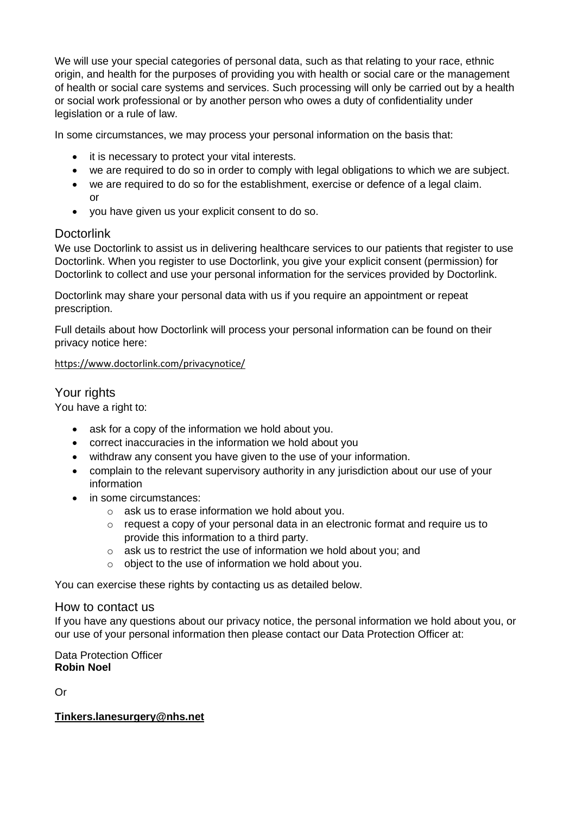We will use your special categories of personal data, such as that relating to your race, ethnic origin, and health for the purposes of providing you with health or social care or the management of health or social care systems and services. Such processing will only be carried out by a health or social work professional or by another person who owes a duty of confidentiality under legislation or a rule of law.

In some circumstances, we may process your personal information on the basis that:

- it is necessary to protect your vital interests.
- we are required to do so in order to comply with legal obligations to which we are subject.
- we are required to do so for the establishment, exercise or defence of a legal claim. or
- you have given us your explicit consent to do so.

# Doctorlink

We use Doctorlink to assist us in delivering healthcare services to our patients that register to use Doctorlink. When you register to use Doctorlink, you give your explicit consent (permission) for Doctorlink to collect and use your personal information for the services provided by Doctorlink.

Doctorlink may share your personal data with us if you require an appointment or repeat prescription.

Full details about how Doctorlink will process your personal information can be found on their privacy notice here:

#### <https://www.doctorlink.com/privacynotice/>

## Your rights

You have a right to:

- ask for a copy of the information we hold about you.
- correct inaccuracies in the information we hold about you
- withdraw any consent you have given to the use of your information.
- complain to the relevant supervisory authority in any jurisdiction about our use of your information
- in some circumstances:
	- o ask us to erase information we hold about you.
	- o request a copy of your personal data in an electronic format and require us to provide this information to a third party.
	- o ask us to restrict the use of information we hold about you; and
	- o object to the use of information we hold about you.

You can exercise these rights by contacting us as detailed below.

#### How to contact us

If you have any questions about our privacy notice, the personal information we hold about you, or our use of your personal information then please contact our Data Protection Officer at:

Data Protection Officer **Robin Noel**

Or

#### **[Tinkers.lanesurgery@nhs.net](mailto:Tinkers.lanesurgery@nhs.net)**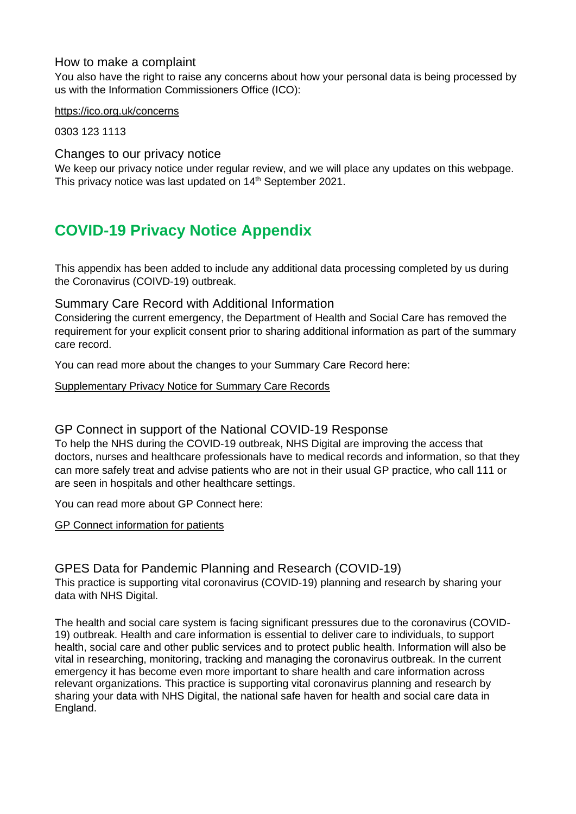## How to make a complaint

You also have the right to raise any concerns about how your personal data is being processed by us with the Information Commissioners Office (ICO):

<https://ico.org.uk/concerns>

0303 123 1113

Changes to our privacy notice

We keep our privacy notice under regular review, and we will place any updates on this webpage. This privacy notice was last updated on 14<sup>th</sup> September 2021.

# **COVID-19 Privacy Notice Appendix**

This appendix has been added to include any additional data processing completed by us during the Coronavirus (COIVD-19) outbreak.

# Summary Care Record with Additional Information

Considering the current emergency, the Department of Health and Social Care has removed the requirement for your explicit consent prior to sharing additional information as part of the summary care record.

You can read more about the changes to your Summary Care Record here:

#### [Supplementary Privacy Notice for Summary Care Records](https://digital.nhs.uk/services/summary-care-records-scr/scr-coronavirus-covid-19-supplementary-privacy-notice)

## GP Connect in support of the National COVID-19 Response

To help the NHS during the COVID-19 outbreak, NHS Digital are improving the access that doctors, nurses and healthcare professionals have to medical records and information, so that they can more safely treat and advise patients who are not in their usual GP practice, who call 111 or are seen in hospitals and other healthcare settings.

You can read more about GP Connect here:

[GP Connect information for patients](https://digital.nhs.uk/services/gp-connect/patients)

# GPES Data for Pandemic Planning and Research (COVID-19)

This practice is supporting vital coronavirus (COVID-19) planning and research by sharing your data with NHS Digital.

The health and social care system is facing significant pressures due to the coronavirus (COVID-19) outbreak. Health and care information is essential to deliver care to individuals, to support health, social care and other public services and to protect public health. Information will also be vital in researching, monitoring, tracking and managing the coronavirus outbreak. In the current emergency it has become even more important to share health and care information across relevant organizations. This practice is supporting vital coronavirus planning and research by sharing your data with NHS Digital, the national safe haven for health and social care data in England.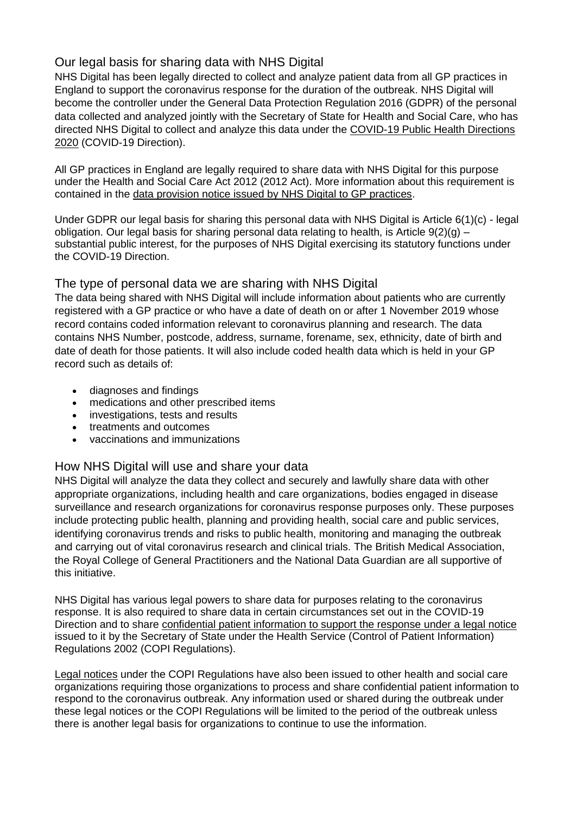# Our legal basis for sharing data with NHS Digital

NHS Digital has been legally directed to collect and analyze patient data from all GP practices in England to support the coronavirus response for the duration of the outbreak. NHS Digital will become the controller under the General Data Protection Regulation 2016 (GDPR) of the personal data collected and analyzed jointly with the Secretary of State for Health and Social Care, who has directed NHS Digital to collect and analyze this data under the [COVID-19 Public Health Directions](https://digital.nhs.uk/about-nhs-digital/corporate-information-and-documents/directions-and-data-provision-notices/secretary-of-state-directions/covid-19-public-health-directions-2020)  [2020](https://digital.nhs.uk/about-nhs-digital/corporate-information-and-documents/directions-and-data-provision-notices/secretary-of-state-directions/covid-19-public-health-directions-2020) (COVID-19 Direction).

All GP practices in England are legally required to share data with NHS Digital for this purpose under the Health and Social Care Act 2012 (2012 Act). More information about this requirement is contained in the [data provision notice issued by NHS Digital to GP practices.](https://digital.nhs.uk/about-nhs-digital/corporate-information-and-documents/directions-and-data-provision-notices/data-provision-notices-dpns/gpes-data-for-pandemic-planning-and-research)

Under GDPR our legal basis for sharing this personal data with NHS Digital is Article 6(1)(c) - legal obligation. Our legal basis for sharing personal data relating to health, is Article  $9(2)(q)$  – substantial public interest, for the purposes of NHS Digital exercising its statutory functions under the COVID-19 Direction.

# The type of personal data we are sharing with NHS Digital

The data being shared with NHS Digital will include information about patients who are currently registered with a GP practice or who have a date of death on or after 1 November 2019 whose record contains coded information relevant to coronavirus planning and research. The data contains NHS Number, postcode, address, surname, forename, sex, ethnicity, date of birth and date of death for those patients. It will also include coded health data which is held in your GP record such as details of:

- diagnoses and findings
- medications and other prescribed items
- investigations, tests and results
- treatments and outcomes
- vaccinations and immunizations

# How NHS Digital will use and share your data

NHS Digital will analyze the data they collect and securely and lawfully share data with other appropriate organizations, including health and care organizations, bodies engaged in disease surveillance and research organizations for coronavirus response purposes only. These purposes include protecting public health, planning and providing health, social care and public services, identifying coronavirus trends and risks to public health, monitoring and managing the outbreak and carrying out of vital coronavirus research and clinical trials. The British Medical Association, the Royal College of General Practitioners and the National Data Guardian are all supportive of this initiative.

NHS Digital has various legal powers to share data for purposes relating to the coronavirus response. It is also required to share data in certain circumstances set out in the COVID-19 Direction and to share [confidential patient information to support the response under a legal notice](https://digital.nhs.uk/coronavirus/coronavirus-covid-19-response-information-governance-hub/control-of-patient-information-copi-notice) issued to it by the Secretary of State under the Health Service (Control of Patient Information) Regulations 2002 (COPI Regulations).

[Legal notices](https://www.gov.uk/government/publications/coronavirus-covid-19-notification-of-data-controllers-to-share-information) under the COPI Regulations have also been issued to other health and social care organizations requiring those organizations to process and share confidential patient information to respond to the coronavirus outbreak. Any information used or shared during the outbreak under these legal notices or the COPI Regulations will be limited to the period of the outbreak unless there is another legal basis for organizations to continue to use the information.